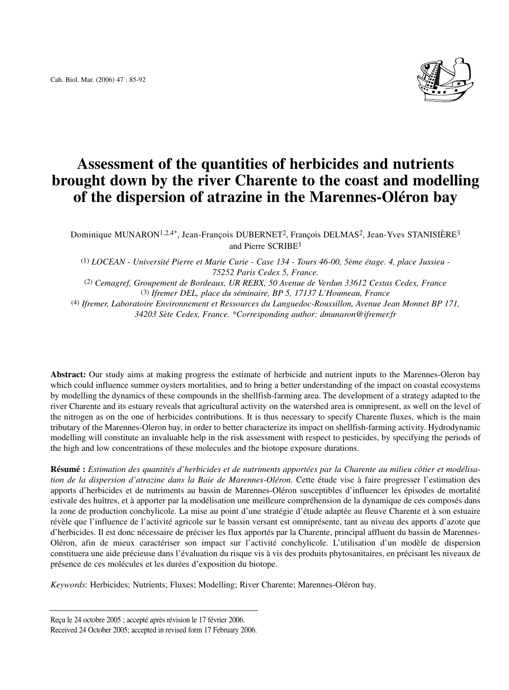

# **Assessment of the quantities of herbicides and nutrients brought down by the river Charente to the coast and modelling of the dispersion of atrazine in the Marennes-Oléron bay**

Dominique MUNARON1,2,4\*, Jean-François DUBERNET2, François DELMAS2, Jean-Yves STANISIÈRE3 and Pierre SCRIBE1

(1) *LOCEAN - Université Pierre et Marie Curie - Case 134 - Tours 46-00, 5ème étage. 4, place Jussieu - 75252 Paris Cedex 5, France.* 

(2) *Cemagref, Groupement de Bordeaux, UR REBX, 50 Avenue de Verdun 33612 Cestas Cedex, France* (3) *Ifremer DEL, place du séminaire, BP 5, 17137 L'Houmeau, France* (4) *Ifremer, Laboratoire Environnement et Ressources du Languedoc-Roussillon, Avenue Jean Monnet BP 171,* 

*34203 Sète Cedex, France. \*Corresponding author: dmunaron@ifremer.fr*

**Abstract:** Our study aims at making progress the estimate of herbicide and nutrient inputs to the Marennes-Oleron bay which could influence summer oysters mortalities, and to bring a better understanding of the impact on coastal ecosystems by modelling the dynamics of these compounds in the shellfish-farming area. The development of a strategy adapted to the river Charente and its estuary reveals that agricultural activity on the watershed area is omnipresent, as well on the level of the nitrogen as on the one of herbicides contributions. It is thus necessary to specify Charente fluxes, which is the main tributary of the Marennes-Oleron bay, in order to better characterize its impact on shellfish-farming activity. Hydrodynamic modelling will constitute an invaluable help in the risk assessment with respect to pesticides, by specifying the periods of the high and low concentrations of these molecules and the biotope exposure durations.

**Résumé :** *Estimation des quantités d'herbicides et de nutriments apportées par la Charente au milieu côtier et modélisation de la dispersion d'atrazine dans la Baie de Marennes-Oléron.* Cette étude vise à faire progresser l'estimation des apports d'herbicides et de nutriments au bassin de Marennes-Oléron susceptibles d'influencer les épisodes de mortalité estivale des huîtres, et à apporter par la modélisation une meilleure compréhension de la dynamique de ces composés dans la zone de production conchylicole. La mise au point d'une stratégie d'étude adaptée au fleuve Charente et à son estuaire révèle que l'influence de l'activité agricole sur le bassin versant est omniprésente, tant au niveau des apports d'azote que d'herbicides. Il est donc nécessaire de préciser les flux apportés par la Charente, principal affluent du bassin de Marennes-Oléron, afin de mieux caractériser son impact sur l'activité conchylicole. L'utilisation d'un modèle de dispersion constituera une aide précieuse dans l'évaluation du risque vis à vis des produits phytosanitaires, en précisant les niveaux de présence de ces molécules et les durées d'exposition du biotope.

*Keywords*: Herbicides; Nutrients; Fluxes; Modelling; River Charente; Marennes-Oléron bay.

Reçu le 24 octobre 2005 ; accepté après révision le 17 février 2006.

Received 24 October 2005; accepted in revised form 17 February 2006.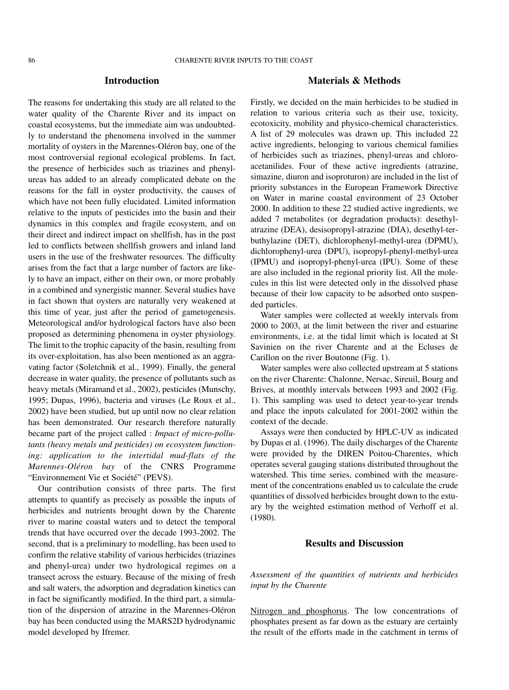#### **Introduction**

The reasons for undertaking this study are all related to the water quality of the Charente River and its impact on coastal ecosystems, but the immediate aim was undoubtedly to understand the phenomena involved in the summer mortality of oysters in the Marennes-Oléron bay, one of the most controversial regional ecological problems. In fact, the presence of herbicides such as triazines and phenylureas has added to an already complicated debate on the reasons for the fall in oyster productivity, the causes of which have not been fully elucidated. Limited information relative to the inputs of pesticides into the basin and their dynamics in this complex and fragile ecosystem, and on their direct and indirect impact on shellfish, has in the past led to conflicts between shellfish growers and inland land users in the use of the freshwater resources. The difficulty arises from the fact that a large number of factors are likely to have an impact, either on their own, or more probably in a combined and synergistic manner. Several studies have in fact shown that oysters are naturally very weakened at this time of year, just after the period of gametogenesis. Meteorological and/or hydrological factors have also been proposed as determining phenomena in oyster physiology. The limit to the trophic capacity of the basin, resulting from its over-exploitation, has also been mentioned as an aggravating factor (Soletchnik et al., 1999). Finally, the general decrease in water quality, the presence of pollutants such as heavy metals (Miramand et al., 2002), pesticides (Munschy, 1995; Dupas, 1996), bacteria and viruses (Le Roux et al., 2002) have been studied, but up until now no clear relation has been demonstrated. Our research therefore naturally became part of the project called : *Impact of micro-pollutants (heavy metals and pesticides) on ecosystem functioning: application to the intertidal mud-flats of the Marennes-Oléron bay* of the CNRS Programme "Environnement Vie et Société" (PEVS).

Our contribution consists of three parts. The first attempts to quantify as precisely as possible the inputs of herbicides and nutrients brought down by the Charente river to marine coastal waters and to detect the temporal trends that have occurred over the decade 1993-2002. The second, that is a preliminary to modelling, has been used to confirm the relative stability of various herbicides (triazines and phenyl-urea) under two hydrological regimes on a transect across the estuary. Because of the mixing of fresh and salt waters, the adsorption and degradation kinetics can in fact be significantly modified. In the third part, a simulation of the dispersion of atrazine in the Marennes-Oléron bay has been conducted using the MARS2D hydrodynamic model developed by Ifremer.

## **Materials & Methods**

Firstly, we decided on the main herbicides to be studied in relation to various criteria such as their use, toxicity, ecotoxicity, mobility and physico-chemical characteristics. A list of 29 molecules was drawn up. This included 22 active ingredients, belonging to various chemical families of herbicides such as triazines, phenyl-ureas and chloroacetanilides. Four of these active ingredients (atrazine, simazine, diuron and isoproturon) are included in the list of priority substances in the European Framework Directive on Water in marine coastal environment of 23 October 2000. In addition to these 22 studied active ingredients, we added 7 metabolites (or degradation products): desethylatrazine (DEA), desisopropyl-atrazine (DIA), desethyl-terbuthylazine (DET), dichlorophenyl-methyl-urea (DPMU), dichlorophenyl-urea (DPU), isopropyl-phenyl-methyl-urea (IPMU) and isopropyl-phenyl-urea (IPU). Some of these are also included in the regional priority list. All the molecules in this list were detected only in the dissolved phase because of their low capacity to be adsorbed onto suspended particles.

Water samples were collected at weekly intervals from 2000 to 2003, at the limit between the river and estuarine environments, i.e. at the tidal limit which is located at St Savinien on the river Charente and at the Ecluses de Carillon on the river Boutonne (Fig. 1).

Water samples were also collected upstream at 5 stations on the river Charente: Chalonne, Nersac, Sireuil, Bourg and Brives, at monthly intervals between 1993 and 2002 (Fig. 1). This sampling was used to detect year-to-year trends and place the inputs calculated for 2001-2002 within the context of the decade.

Assays were then conducted by HPLC-UV as indicated by Dupas et al. (1996). The daily discharges of the Charente were provided by the DIREN Poitou-Charentes, which operates several gauging stations distributed throughout the watershed. This time series, combined with the measurement of the concentrations enabled us to calculate the crude quantities of dissolved herbicides brought down to the estuary by the weighted estimation method of Verhoff et al. (1980).

# **Results and Discussion**

*Assessment of the quantities of nutrients and herbicides input by the Charente*

Nitrogen and phosphorus. The low concentrations of phosphates present as far down as the estuary are certainly the result of the efforts made in the catchment in terms of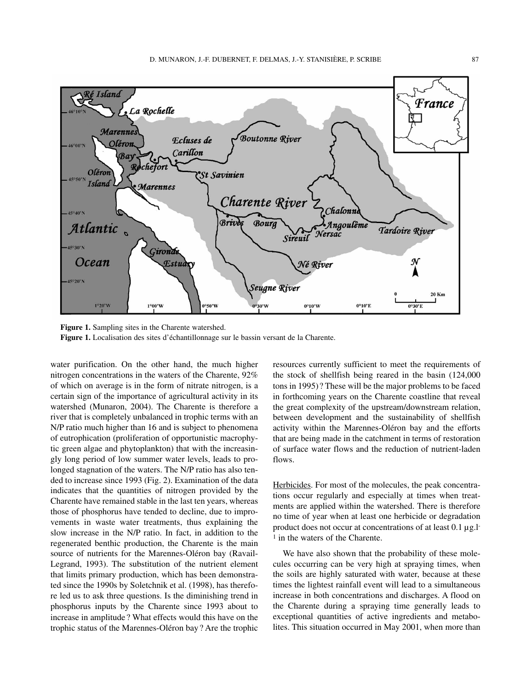

**Figure 1.** Sampling sites in the Charente watershed. **Figure 1.** Localisation des sites d'échantillonnage sur le bassin versant de la Charente.

water purification. On the other hand, the much higher nitrogen concentrations in the waters of the Charente, 92% of which on average is in the form of nitrate nitrogen, is a certain sign of the importance of agricultural activity in its watershed (Munaron, 2004). The Charente is therefore a river that is completely unbalanced in trophic terms with an N/P ratio much higher than 16 and is subject to phenomena of eutrophication (proliferation of opportunistic macrophytic green algae and phytoplankton) that with the increasingly long period of low summer water levels, leads to prolonged stagnation of the waters. The N/P ratio has also tended to increase since 1993 (Fig. 2). Examination of the data indicates that the quantities of nitrogen provided by the Charente have remained stable in the last ten years, whereas those of phosphorus have tended to decline, due to improvements in waste water treatments, thus explaining the slow increase in the N/P ratio. In fact, in addition to the regenerated benthic production, the Charente is the main source of nutrients for the Marennes-Oléron bay (Ravail-Legrand, 1993). The substitution of the nutrient element that limits primary production, which has been demonstrated since the 1990s by Soletchnik et al. (1998), has therefore led us to ask three questions. Is the diminishing trend in phosphorus inputs by the Charente since 1993 about to increase in amplitude ? What effects would this have on the trophic status of the Marennes-Oléron bay? Are the trophic

resources currently sufficient to meet the requirements of the stock of shellfish being reared in the basin (124,000 tons in 1995)? These will be the major problems to be faced in forthcoming years on the Charente coastline that reveal the great complexity of the upstream/downstream relation, between development and the sustainability of shellfish activity within the Marennes-Oléron bay and the efforts that are being made in the catchment in terms of restoration of surface water flows and the reduction of nutrient-laden flows.

Herbicides. For most of the molecules, the peak concentrations occur regularly and especially at times when treatments are applied within the watershed. There is therefore no time of year when at least one herbicide or degradation product does not occur at concentrations of at least 0.1 µg.l-<sup>1</sup> in the waters of the Charente.

We have also shown that the probability of these molecules occurring can be very high at spraying times, when the soils are highly saturated with water, because at these times the lightest rainfall event will lead to a simultaneous increase in both concentrations and discharges. A flood on the Charente during a spraying time generally leads to exceptional quantities of active ingredients and metabolites. This situation occurred in May 2001, when more than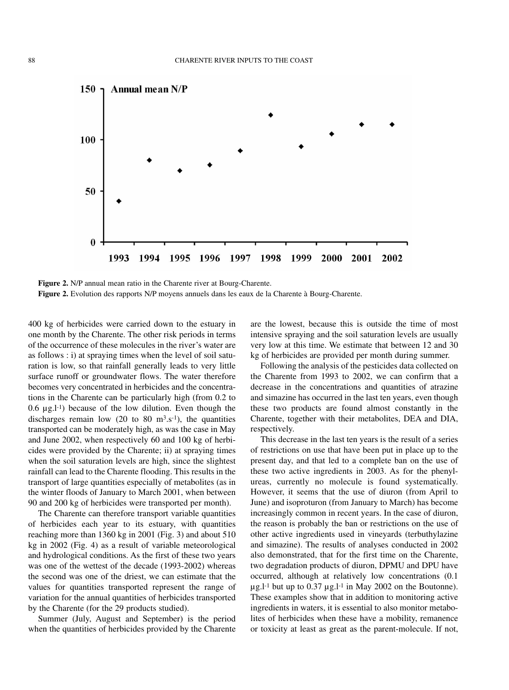

**Figure 2.** N/P annual mean ratio in the Charente river at Bourg-Charente. **Figure 2.** Evolution des rapports N/P moyens annuels dans les eaux de la Charente à Bourg-Charente.

400 kg of herbicides were carried down to the estuary in one month by the Charente. The other risk periods in terms of the occurrence of these molecules in the river's water are as follows : i) at spraying times when the level of soil saturation is low, so that rainfall generally leads to very little surface runoff or groundwater flows. The water therefore becomes very concentrated in herbicides and the concentrations in the Charente can be particularly high (from 0.2 to  $0.6 \mu g.l^{-1}$ ) because of the low dilution. Even though the discharges remain low  $(20 \text{ to } 80 \text{ m}^3 \text{ s}^{-1})$ , the quantities transported can be moderately high, as was the case in May and June 2002, when respectively 60 and 100 kg of herbicides were provided by the Charente; ii) at spraying times when the soil saturation levels are high, since the slightest rainfall can lead to the Charente flooding. This results in the transport of large quantities especially of metabolites (as in the winter floods of January to March 2001, when between 90 and 200 kg of herbicides were transported per month).

The Charente can therefore transport variable quantities of herbicides each year to its estuary, with quantities reaching more than 1360 kg in 2001 (Fig. 3) and about 510 kg in 2002 (Fig. 4) as a result of variable meteorological and hydrological conditions. As the first of these two years was one of the wettest of the decade (1993-2002) whereas the second was one of the driest, we can estimate that the values for quantities transported represent the range of variation for the annual quantities of herbicides transported by the Charente (for the 29 products studied).

Summer (July, August and September) is the period when the quantities of herbicides provided by the Charente are the lowest, because this is outside the time of most intensive spraying and the soil saturation levels are usually very low at this time. We estimate that between 12 and 30 kg of herbicides are provided per month during summer.

Following the analysis of the pesticides data collected on the Charente from 1993 to 2002, we can confirm that a decrease in the concentrations and quantities of atrazine and simazine has occurred in the last ten years, even though these two products are found almost constantly in the Charente, together with their metabolites, DEA and DIA, respectively.

This decrease in the last ten years is the result of a series of restrictions on use that have been put in place up to the present day, and that led to a complete ban on the use of these two active ingredients in 2003. As for the phenylureas, currently no molecule is found systematically. However, it seems that the use of diuron (from April to June) and isoproturon (from January to March) has become increasingly common in recent years. In the case of diuron, the reason is probably the ban or restrictions on the use of other active ingredients used in vineyards (terbuthylazine and simazine). The results of analyses conducted in 2002 also demonstrated, that for the first time on the Charente, two degradation products of diuron, DPMU and DPU have occurred, although at relatively low concentrations (0.1  $\mu$ g.l<sup>-1</sup> but up to 0.37  $\mu$ g.l<sup>-1</sup> in May 2002 on the Boutonne). These examples show that in addition to monitoring active ingredients in waters, it is essential to also monitor metabolites of herbicides when these have a mobility, remanence or toxicity at least as great as the parent-molecule. If not,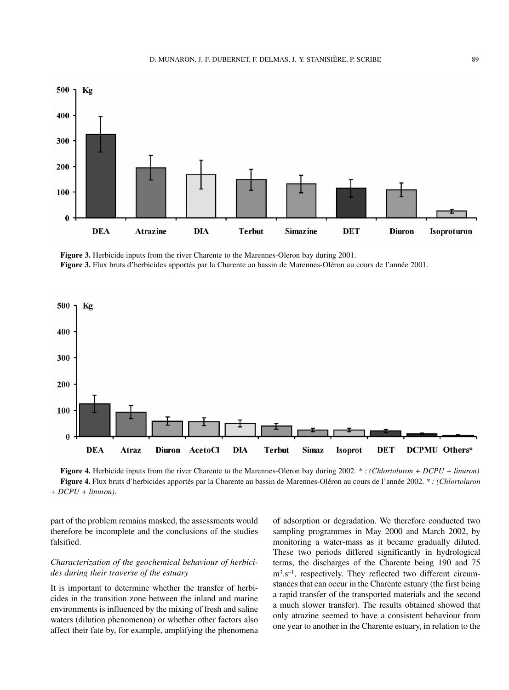

**Figure 3.** Herbicide inputs from the river Charente to the Marennes-Oleron bay during 2001. **Figure 3.** Flux bruts d'herbicides apportés par la Charente au bassin de Marennes-Oléron au cours de l'année 2001.



**Figure 4.** Herbicide inputs from the river Charente to the Marennes-Oleron bay during 2002. *\* : (Chlortoluron + DCPU + linuron)* **Figure 4.** Flux bruts d'herbicides apportés par la Charente au bassin de Marennes-Oléron au cours de l'année 2002. *\* : (Chlortoluron + DCPU + linuron)*.

part of the problem remains masked, the assessments would therefore be incomplete and the conclusions of the studies falsified.

#### *Characterization of the geochemical behaviour of herbicides during their traverse of the estuary*

It is important to determine whether the transfer of herbicides in the transition zone between the inland and marine environments is influenced by the mixing of fresh and saline waters (dilution phenomenon) or whether other factors also affect their fate by, for example, amplifying the phenomena

of adsorption or degradation. We therefore conducted two sampling programmes in May 2000 and March 2002, by monitoring a water-mass as it became gradually diluted. These two periods differed significantly in hydrological terms, the discharges of the Charente being 190 and 75 m3.s–1, respectively. They reflected two different circumstances that can occur in the Charente estuary (the first being a rapid transfer of the transported materials and the second a much slower transfer). The results obtained showed that only atrazine seemed to have a consistent behaviour from one year to another in the Charente estuary, in relation to the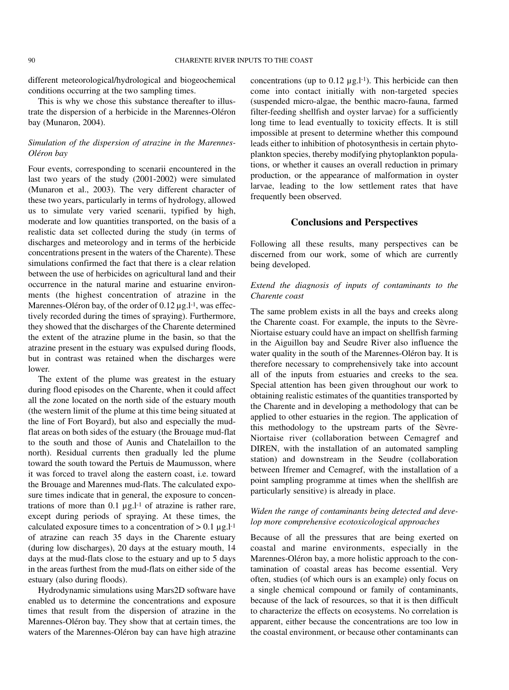different meteorological/hydrological and biogeochemical conditions occurring at the two sampling times.

This is why we chose this substance thereafter to illustrate the dispersion of a herbicide in the Marennes-Oléron bay (Munaron, 2004).

### *Simulation of the dispersion of atrazine in the Marennes-Oléron bay*

Four events, corresponding to scenarii encountered in the last two years of the study (2001-2002) were simulated (Munaron et al., 2003). The very different character of these two years, particularly in terms of hydrology, allowed us to simulate very varied scenarii, typified by high, moderate and low quantities transported, on the basis of a realistic data set collected during the study (in terms of discharges and meteorology and in terms of the herbicide concentrations present in the waters of the Charente). These simulations confirmed the fact that there is a clear relation between the use of herbicides on agricultural land and their occurrence in the natural marine and estuarine environments (the highest concentration of atrazine in the Marennes-Oléron bay, of the order of 0.12 µg.l<sup>-1</sup>, was effectively recorded during the times of spraying). Furthermore, they showed that the discharges of the Charente determined the extent of the atrazine plume in the basin, so that the atrazine present in the estuary was expulsed during floods, but in contrast was retained when the discharges were lower.

The extent of the plume was greatest in the estuary during flood episodes on the Charente, when it could affect all the zone located on the north side of the estuary mouth (the western limit of the plume at this time being situated at the line of Fort Boyard), but also and especially the mudflat areas on both sides of the estuary (the Brouage mud-flat to the south and those of Aunis and Chatelaillon to the north). Residual currents then gradually led the plume toward the south toward the Pertuis de Maumusson, where it was forced to travel along the eastern coast, i.e. toward the Brouage and Marennes mud-flats. The calculated exposure times indicate that in general, the exposure to concentrations of more than  $0.1 \mu g.l^{-1}$  of atrazine is rather rare, except during periods of spraying. At these times, the calculated exposure times to a concentration of  $> 0.1 \mu g.l^{-1}$ of atrazine can reach 35 days in the Charente estuary (during low discharges), 20 days at the estuary mouth, 14 days at the mud-flats close to the estuary and up to 5 days in the areas furthest from the mud-flats on either side of the estuary (also during floods).

Hydrodynamic simulations using Mars2D software have enabled us to determine the concentrations and exposure times that result from the dispersion of atrazine in the Marennes-Oléron bay. They show that at certain times, the waters of the Marennes-Oléron bay can have high atrazine

concentrations (up to  $0.12 \mu g.l^{-1}$ ). This herbicide can then come into contact initially with non-targeted species (suspended micro-algae, the benthic macro-fauna, farmed filter-feeding shellfish and oyster larvae) for a sufficiently long time to lead eventually to toxicity effects. It is still impossible at present to determine whether this compound leads either to inhibition of photosynthesis in certain phytoplankton species, thereby modifying phytoplankton populations, or whether it causes an overall reduction in primary production, or the appearance of malformation in oyster larvae, leading to the low settlement rates that have frequently been observed.

#### **Conclusions and Perspectives**

Following all these results, many perspectives can be discerned from our work, some of which are currently being developed.

## *Extend the diagnosis of inputs of contaminants to the Charente coast*

The same problem exists in all the bays and creeks along the Charente coast. For example, the inputs to the Sèvre-Niortaise estuary could have an impact on shellfish farming in the Aiguillon bay and Seudre River also influence the water quality in the south of the Marennes-Oléron bay. It is therefore necessary to comprehensively take into account all of the inputs from estuaries and creeks to the sea. Special attention has been given throughout our work to obtaining realistic estimates of the quantities transported by the Charente and in developing a methodology that can be applied to other estuaries in the region. The application of this methodology to the upstream parts of the Sèvre-Niortaise river (collaboration between Cemagref and DIREN, with the installation of an automated sampling station) and downstream in the Seudre (collaboration between Ifremer and Cemagref, with the installation of a point sampling programme at times when the shellfish are particularly sensitive) is already in place.

## *Widen the range of contaminants being detected and develop more comprehensive ecotoxicological approaches*

Because of all the pressures that are being exerted on coastal and marine environments, especially in the Marennes-Oléron bay, a more holistic approach to the contamination of coastal areas has become essential. Very often, studies (of which ours is an example) only focus on a single chemical compound or family of contaminants, because of the lack of resources, so that it is then difficult to characterize the effects on ecosystems. No correlation is apparent, either because the concentrations are too low in the coastal environment, or because other contaminants can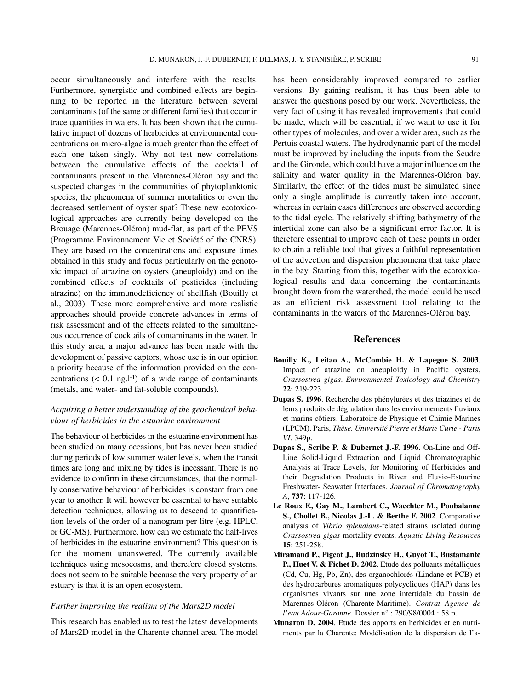occur simultaneously and interfere with the results. Furthermore, synergistic and combined effects are beginning to be reported in the literature between several contaminants (of the same or different families) that occur in trace quantities in waters. It has been shown that the cumulative impact of dozens of herbicides at environmental concentrations on micro-algae is much greater than the effect of each one taken singly. Why not test new correlations between the cumulative effects of the cocktail of contaminants present in the Marennes-Oléron bay and the suspected changes in the communities of phytoplanktonic species, the phenomena of summer mortalities or even the decreased settlement of oyster spat? These new ecotoxicological approaches are currently being developed on the Brouage (Marennes-Oléron) mud-flat, as part of the PEVS (Programme Environnement Vie et Société of the CNRS). They are based on the concentrations and exposure times obtained in this study and focus particularly on the genotoxic impact of atrazine on oysters (aneuploidy) and on the combined effects of cocktails of pesticides (including atrazine) on the immunodeficiency of shellfish (Bouilly et al., 2003). These more comprehensive and more realistic approaches should provide concrete advances in terms of risk assessment and of the effects related to the simultaneous occurrence of cocktails of contaminants in the water. In this study area, a major advance has been made with the development of passive captors, whose use is in our opinion a priority because of the information provided on the concentrations  $(< 0.1$  ng.l<sup>-1</sup>) of a wide range of contaminants (metals, and water- and fat-soluble compounds).

# *Acquiring a better understanding of the geochemical behaviour of herbicides in the estuarine environment*

The behaviour of herbicides in the estuarine environment has been studied on many occasions, but has never been studied during periods of low summer water levels, when the transit times are long and mixing by tides is incessant. There is no evidence to confirm in these circumstances, that the normally conservative behaviour of herbicides is constant from one year to another. It will however be essential to have suitable detection techniques, allowing us to descend to quantification levels of the order of a nanogram per litre (e.g. HPLC, or GC-MS). Furthermore, how can we estimate the half-lives of herbicides in the estuarine environment? This question is for the moment unanswered. The currently available techniques using mesocosms, and therefore closed systems, does not seem to be suitable because the very property of an estuary is that it is an open ecosystem.

#### *Further improving the realism of the Mars2D model*

This research has enabled us to test the latest developments of Mars2D model in the Charente channel area. The model has been considerably improved compared to earlier versions. By gaining realism, it has thus been able to answer the questions posed by our work. Nevertheless, the very fact of using it has revealed improvements that could be made, which will be essential, if we want to use it for other types of molecules, and over a wider area, such as the Pertuis coastal waters. The hydrodynamic part of the model must be improved by including the inputs from the Seudre and the Gironde, which could have a major influence on the salinity and water quality in the Marennes-Oléron bay. Similarly, the effect of the tides must be simulated since only a single amplitude is currently taken into account, whereas in certain cases differences are observed according to the tidal cycle. The relatively shifting bathymetry of the intertidal zone can also be a significant error factor. It is therefore essential to improve each of these points in order to obtain a reliable tool that gives a faithful representation of the advection and dispersion phenomena that take place in the bay. Starting from this, together with the ecotoxicological results and data concerning the contaminants brought down from the watershed, the model could be used as an efficient risk assessment tool relating to the contaminants in the waters of the Marennes-Oléron bay.

#### **References**

- **Bouilly K., Leitao A., McCombie H. & Lapegue S. 2003**. Impact of atrazine on aneuploidy in Pacific oysters, *Crassostrea gigas*. *Environmental Toxicology and Chemistry* **22**: 219-223.
- **Dupas S. 1996**. Recherche des phénylurées et des triazines et de leurs produits de dégradation dans les environnements fluviaux et marins côtiers. Laboratoire de Physique et Chimie Marines (LPCM). Paris, *Thèse, Université Pierre et Marie Curie - Paris VI*: 349p.
- **Dupas S., Scribe P. & Dubernet J.-F. 1996**. On-Line and Off-Line Solid-Liquid Extraction and Liquid Chromatographic Analysis at Trace Levels, for Monitoring of Herbicides and their Degradation Products in River and Fluvio-Estuarine Freshwater- Seawater Interfaces. *Journal of Chromatography A*, **737**: 117-126.
- **Le Roux F., Gay M., Lambert C., Waechter M., Poubalanne S., Chollet B., Nicolas J.-L. & Berthe F. 2002**. Comparative analysis of *Vibrio splendidus*-related strains isolated during *Crassostrea gigas* mortality events. *Aquatic Living Resources* **15**: 251-258.
- **Miramand P., Pigeot J., Budzinsky H., Guyot T., Bustamante P., Huet V. & Fichet D. 2002**. Etude des polluants métalliques (Cd, Cu, Hg, Pb, Zn), des organochlorés (Lindane et PCB) et des hydrocarbures aromatiques polycycliques (HAP) dans les organismes vivants sur une zone intertidale du bassin de Marennes-Oléron (Charente-Maritime). *Contrat Agence de l'eau Adour-Garonne*. Dossier n° : 290/98/0004 : 58 p.
- **Munaron D. 2004**. Etude des apports en herbicides et en nutriments par la Charente: Modélisation de la dispersion de l'a-